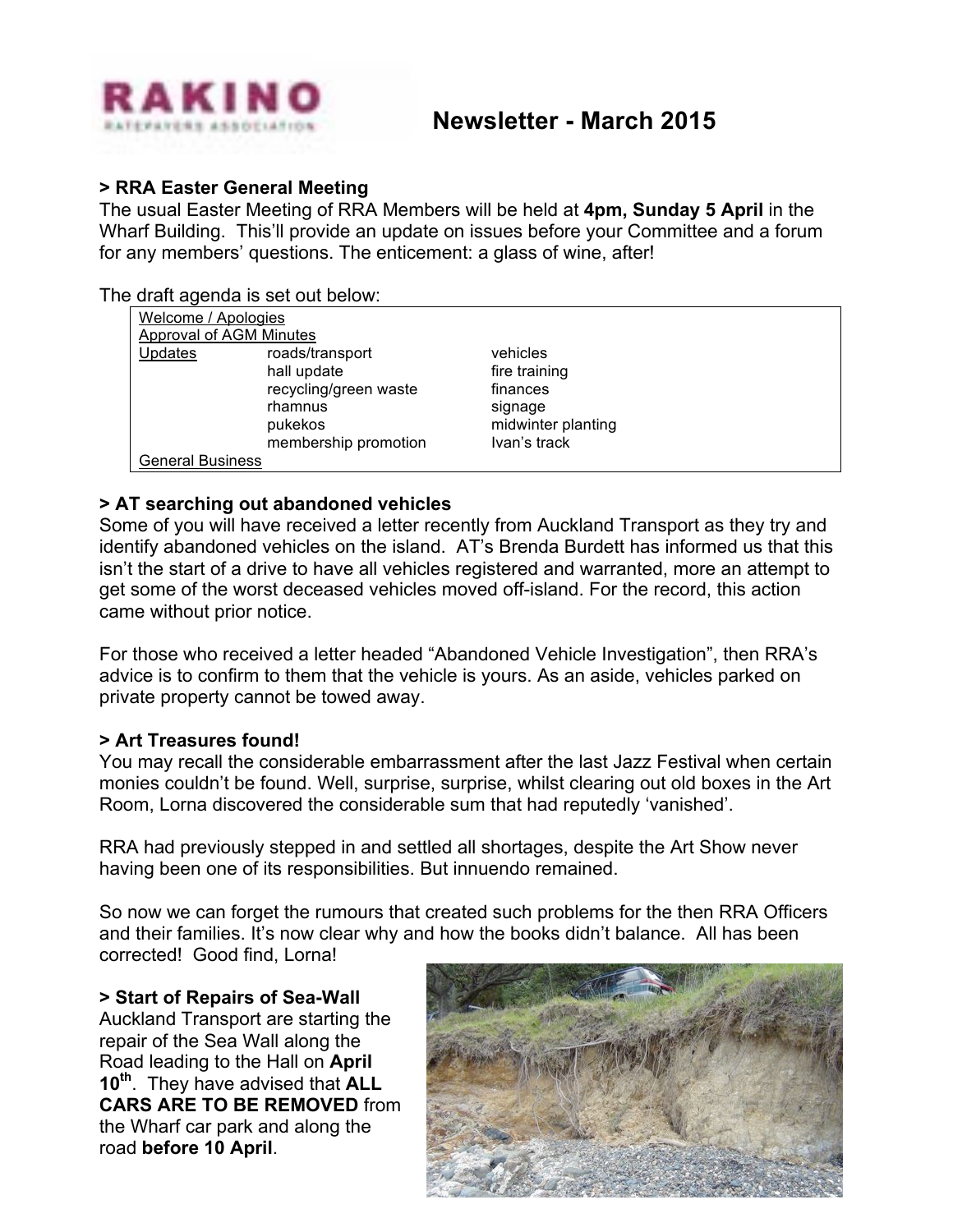

### **> RRA Easter General Meeting**

The usual Easter Meeting of RRA Members will be held at **4pm, Sunday 5 April** in the Wharf Building. This'll provide an update on issues before your Committee and a forum for any members' questions. The enticement: a glass of wine, after!

#### The draft agenda is set out below:

| Welcome / Apologies            |                    |  |
|--------------------------------|--------------------|--|
| <b>Approval of AGM Minutes</b> |                    |  |
| roads/transport                | vehicles           |  |
| hall update                    | fire training      |  |
| recycling/green waste          | finances           |  |
| rhamnus                        | signage            |  |
| pukekos                        | midwinter planting |  |
| membership promotion           | Ivan's track       |  |
| <b>General Business</b>        |                    |  |
|                                |                    |  |

# **> AT searching out abandoned vehicles**

Some of you will have received a letter recently from Auckland Transport as they try and identify abandoned vehicles on the island. AT's Brenda Burdett has informed us that this isn't the start of a drive to have all vehicles registered and warranted, more an attempt to get some of the worst deceased vehicles moved off-island. For the record, this action came without prior notice.

For those who received a letter headed "Abandoned Vehicle Investigation", then RRA's advice is to confirm to them that the vehicle is yours. As an aside, vehicles parked on private property cannot be towed away.

### **> Art Treasures found!**

You may recall the considerable embarrassment after the last Jazz Festival when certain monies couldn't be found. Well, surprise, surprise, whilst clearing out old boxes in the Art Room, Lorna discovered the considerable sum that had reputedly 'vanished'.

RRA had previously stepped in and settled all shortages, despite the Art Show never having been one of its responsibilities. But innuendo remained.

So now we can forget the rumours that created such problems for the then RRA Officers and their families. It's now clear why and how the books didn't balance. All has been corrected! Good find, Lorna!

### **> Start of Repairs of Sea-Wall**

Auckland Transport are starting the repair of the Sea Wall along the Road leading to the Hall on **April 10th**. They have advised that **ALL CARS ARE TO BE REMOVED** from the Wharf car park and along the road **before 10 April**.

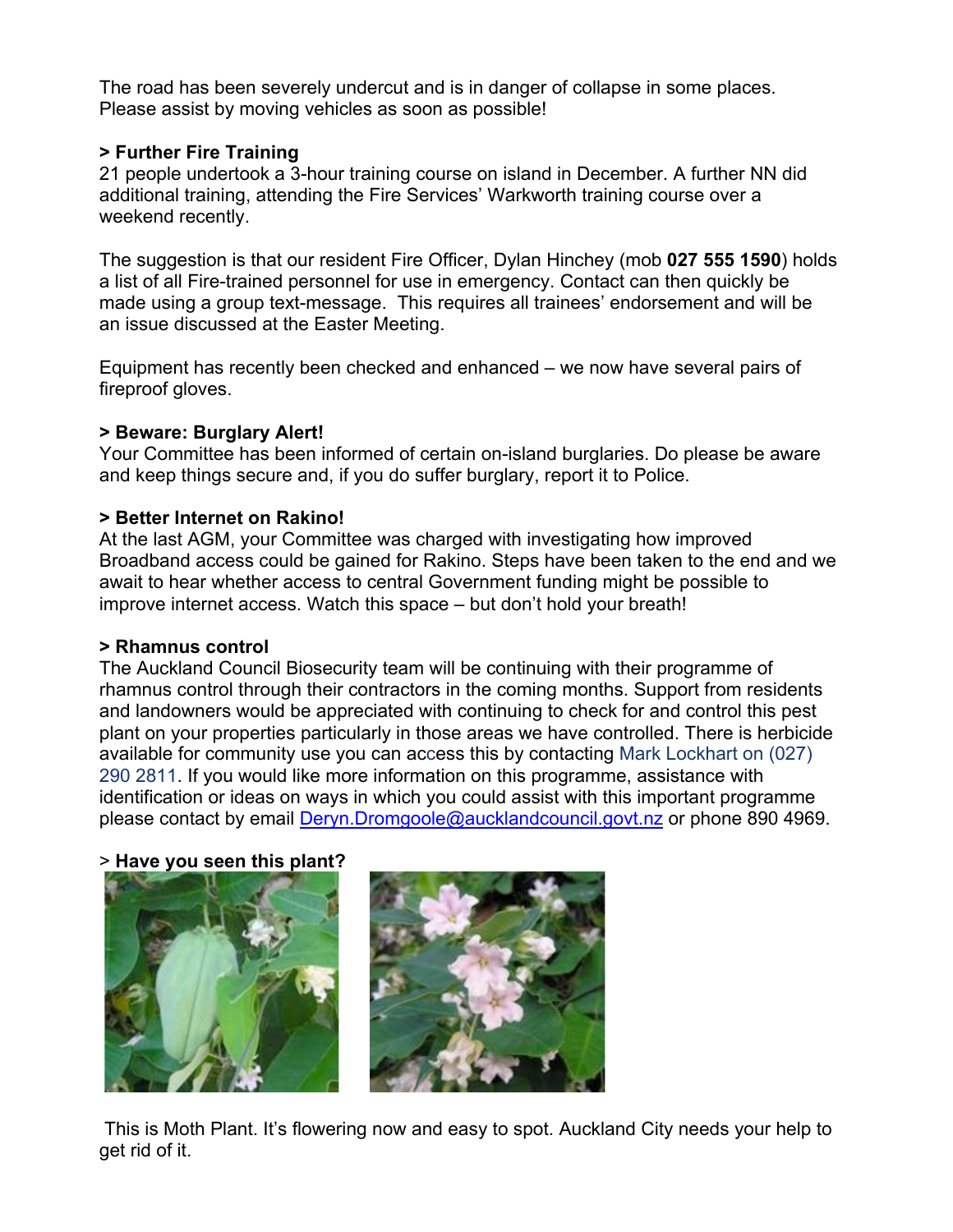The road has been severely undercut and is in danger of collapse in some places. Please assist by moving vehicles as soon as possible!

# **> Further Fire Training**

21 people undertook a 3-hour training course on island in December. A further NN did additional training, attending the Fire Services' Warkworth training course over a weekend recently.

The suggestion is that our resident Fire Officer, Dylan Hinchey (mob **027 555 1590**) holds a list of all Fire-trained personnel for use in emergency. Contact can then quickly be made using a group text-message. This requires all trainees' endorsement and will be an issue discussed at the Easter Meeting.

Equipment has recently been checked and enhanced – we now have several pairs of fireproof gloves.

### **> Beware: Burglary Alert!**

Your Committee has been informed of certain on-island burglaries. Do please be aware and keep things secure and, if you do suffer burglary, report it to Police.

# **> Better Internet on Rakino!**

At the last AGM, your Committee was charged with investigating how improved Broadband access could be gained for Rakino. Steps have been taken to the end and we await to hear whether access to central Government funding might be possible to improve internet access. Watch this space – but don't hold your breath!

### **> Rhamnus control**

The Auckland Council Biosecurity team will be continuing with their programme of rhamnus control through their contractors in the coming months. Support from residents and landowners would be appreciated with continuing to check for and control this pest plant on your properties particularly in those areas we have controlled. There is herbicide available for community use you can access this by contacting Mark Lockhart on (027) 290 2811. If you would like more information on this programme, assistance with identification or ideas on ways in which you could assist with this important programme please contact by email Deryn.Dromgoole@aucklandcouncil.govt.nz or phone 890 4969.

### > **Have you seen this plant?**



This is Moth Plant. It's flowering now and easy to spot. Auckland City needs your help to get rid of it.